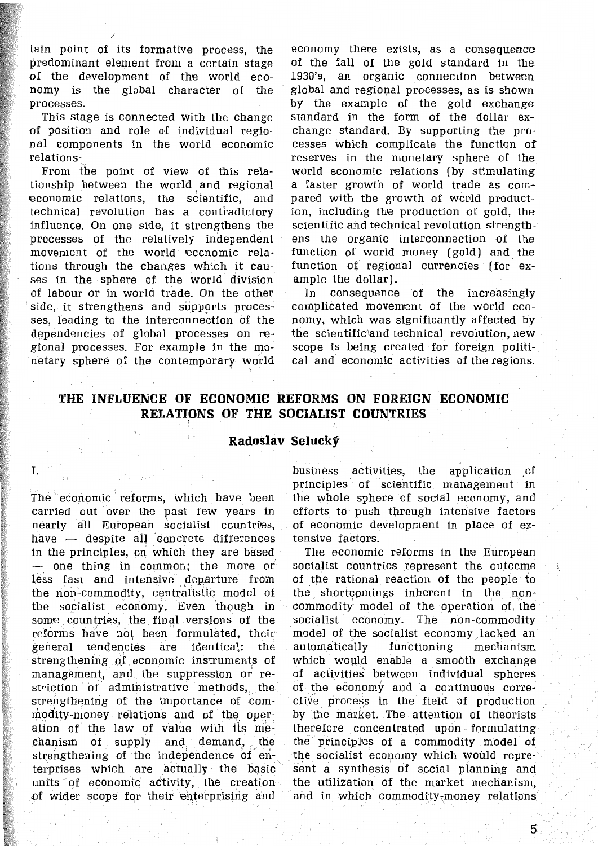tain point of its formative process, the predominant element from a certain stage of the development of the world economy is the global character of the processes.

This stage is connected with the change of position and role of individual regional components in the world economic relations-

From the point of view of this relationship between the world and regional economic relations, the scientific, and technical revolution has a contradictory influence. On one side, it strengthens the processes of the relatively independent movement of the world economic relations through the changes which it causes in the sphere of the world division of labour or in world trade. On the other side, it strengthens and supports processes, leading to the interconnection of the dependencies of global processes on regional processes. For example in the monetary sphere of the contemporary world

economy there exists, as a consequence of the fall of the gold standard in the 1930's, an organic connection between global and regional processes, as is shown by the example of the gold exchange standard in the form of the dollar exchange standard. By supporting the processes which complicate the function of reserves in the monetary sphere of the world economic relations (by stimulating a faster growth of world trade as compared with the growth of world production, including the production of gold, the scientific and technical revolution strengthens the organic interconnection of the function of world money (gold) and the function of regional currencies (for example the dollar).

In consequence of the increasingly complicated movement of the world economy, which was significantly affected by the scientific and technical revolution, new scope is being created for foreign political and economic activities of the regions.

## THE INFLUENCE OF ECONOMIC REFORMS ON FOREIGN ECONOMIC RELATIONS OF THE SOCIALIST COUNTRIES

## Radoslav Selucký

The economic reforms, which have been carried out over the past few years in nearly all European socialist countries, have - despite all concrete differences in the principles, on which they are based - one thing in common; the more or less fast and intensive departure from the non-commodity, centralistic model of the socialist economy. Even though in some countries, the final versions of the reforms have not been formulated, their general tendencies are identical: the strengthening of economic instruments of management, and the suppression or restriction of administrative methods, the strengthening of the importance of commodity-money relations and of the operation of the law of value with its mechanism of supply and demand, the strengthening of the independence of enterprises which are actually the basic units of economic activity, the creation of wider scope for their enterprising and

I.

business activities, the application of principles of scientific management in the whole sphere of social economy, and efforts to push through intensive factors of economic development in place of extensive factors.

The economic reforms in the European socialist countries represent the outcome of the rational reaction of the people to the shortcomings inherent in the noncommodity model of the operation of the socialist economy. The non-commodity model of the socialist economy lacked an automatically functioning mechanism which would enable a smooth exchange of activities between individual spheres of the economy and a continuous corrective process in the field of production by the market. The attention of theorists therefore concentrated upon formulating the principles of a commodity model of the socialist economy which would represent a synthesis of social planning and the utilization of the market mechanism, and in which commodity-money relations

5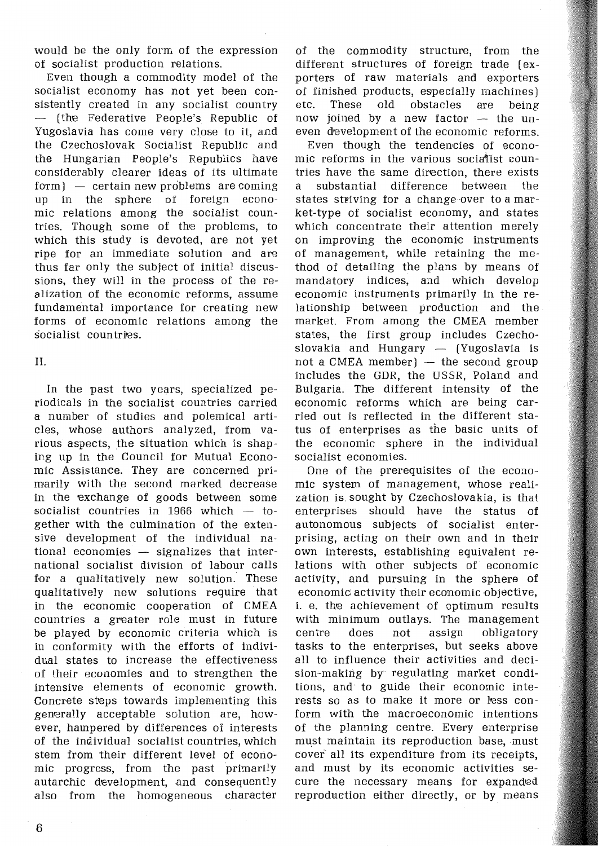would be the only form of the expression of socialist production relations.

Even though a commodity model of the socialist economy has not yet been consistently created in any socialist country - ( the Federative People's Republic of Yugoslavia has come very close to it, and the Czechoslovak Socialist Republic and the Hungarian People's Republics have considerably clearer ideas of its ultimate  $form$  – certain new problems are coming up in the sphere of foreign economic relations among the socialist countries. Though some of the problems, to which this study is devoted, are not yet ripe for an immediate solution and are thus far only the subject of initial discussions, they will in the process of the realization of the economic reforms, assume fundamental importance for creating new forms of economic relations among the socialist countries.

## II.

In the past two years, specialized periodicals in the socialist countries carried a number of studies and polemical articles, whose authors analyzed, from various aspects, the situation which is shaping up in the Council for Mutual Economic Assistance. They are concerned primarily with the second marked decrease in the exchange of goods between some socialist countries in  $1966$  which  $-$  together with the culmination of the extensive development of the individual national economies  $-$  signalizes that international socialist division of labour calls for a qualitatively new solution. These qualitatively new solutions require that in the economic cooperation of CMEA countries a greater role must in future be played by economic criteria which is in conformity with the efforts of individua! states to increase the effectiveness of their economies and to strengthen the intensive elements of economic growth. Concrete steps towards implementing this generally acceptable solution are, however, hampered by differences of interests of the individua! socialist countries, which stem from their different level of economic progress, from the past primarily autarchic development, and consequently also from the homogeneous character of the commodity structure, from the different structures of foreign trade (exporters of raw materials and exporters of finished products, especially machines)<br>etc. These old obstacles are being These old obstacles are now joined by a new factor  $-$  the uneven development of the economic reforms.

Even though the tendencies of economic reforms in the various socialist countries have the same direction, there exists<br>a substantial difference between the substantial difference between states striving for a change-over to a market-type of socialist economy, and states which concentrate their attention merely on improving the economic instruments of management, while retaining the method of detailing the plans by means of mandatory indices, and which develop economic instruments primarily in the relationship between production and the market. From among the CMEA member states, the first group includes Czechoslovakia and Hungary  $-$  (Yugoslavia is  $not a CMEA member$  - the second group includes the GDR, the USSR, Poland and Bulgaria. The different intensity of the economic reforms which are being carried out is reflected in the different status of enterprises as the basic units of the economic sphere in the individua! socialist economies.

One of the prerequisites of the economic system of management, whose realization is. sought by Czechoslovakia, is that enterprises should have the status of autonomous subjects of socialist enterprising, acting on their own and in their own interests, establishing equivalent relations with other subjects of economic activity, and pursuing in the sphere of economic activity their economic objective, i. e. the achievement of optimum results with minimum outlays. The management centre does not assign obligatory tasks to the enterprises, but seeks above all to influence their activities and decision-making by regulating market conditions, and to guide their economic interests so as to make it more or less conform with the macroeconomic intentions of the planning centre. Every enterprise must maintain its reproduction base, must cover all its expenditure from its receipts, and must by its economic activities secure the necessary means for expanded reproduction either directly, or by means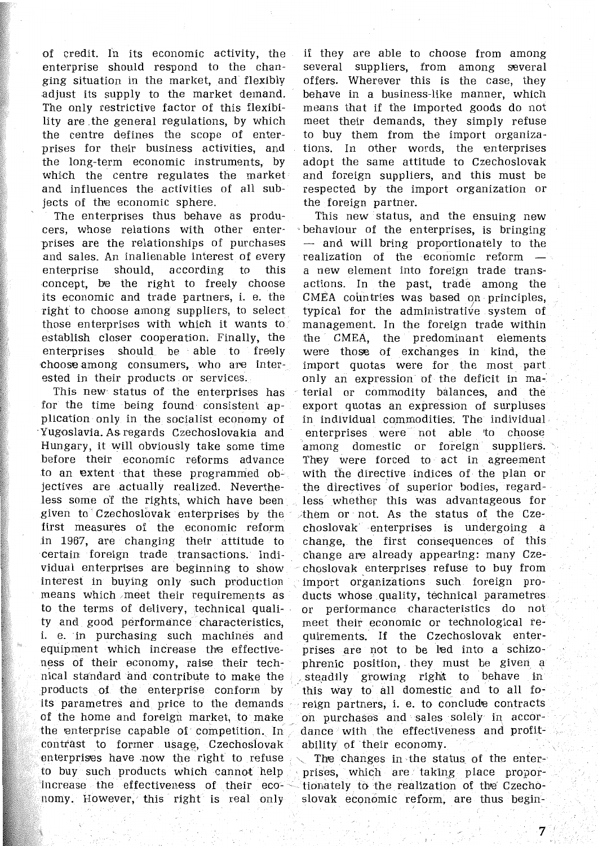of credit. ln its economic activity, the enterprise should respond to the changing situation in the market, and flexibly adjust its supply to the market demand. The only restrictive factor of this flexibility are the general regulations, by which the centre defines the scope of enterprises for their business activities, and the long-term economic instruments, by which the centre regulates the market and influences the activities of all subjects of the economic sphere.

The enterprises thus behave as producers, whose relations with other enterprises are the relationships of purchases and sales. An inalienable interest of every enterprise should, according to this concept, be the right to freely choose its economic and trade partners, i. e. the right to choose among suppliers, to select those enterprises with which it wants to establish closer cooperation; Finally, the enterprises should be able to freely choose among consumers, who are interested in their products or services.

This new status of the enterprises has for the time being found consistent application only in the socialist economy of Yugoslavia. As regards Czechoslovakia and Hungary, it will obviously take some time before their economic reforms advance to an extent that these programmed objectives are actually realized. Nevertheless some of the rights, which have been given to· Czechoslovak enterprises by the first measures of the economic reform in 1967, are changing their attitude to certain foreign trade transactions. Individua! enterprises are beginning to show interest in buying only such production means which .meet their requirements as to the terms of delivery, technical quality and good performance characteristics, i. e. in purchasing such machines and equipment which increase the effectiveness of their economy, raise their technical standard and contribute to make the products of the enterprise conform by its parametres and price to the demands of the home and foreign market, to make the enterprise capable of competition. In contrast to former usage, Czechoslovak enterprises have now the right to refuse to buy such products which cannot help lncrease the effectiveness of their economy. However, this right is real only

if they are able to choose from among several suppliers, from among several offers. Wherever this is the case, they behave in a business-like manner, which means that if the imported goods do not meet their demands, they simply refuse to buy them from the import organizations. In other words, the enterprises adopt the same attitude to Czechoslovak and foreign suppliers, and this must be respected by the import organization or the foreign partner.

This new status, and the ensuing new behaviour of the enterprises, is bringing - and will bring proportionately to the realization of the economic reform a new element into foreign trade trans· actions. In the past, trade among the CMEA countries was based on principles, typical for the administrative system of management. ln the foreign trade within the CMEA, the predominant elements were those of exchanges in kind, the import quotas were for the most part only an expression of the deficit in material or commodity balances, and the export quotas an expression of surpluses in individual commodities. The individual enterprises were not able to choose among domestic or foreign suppliers. They were forced to act in agreement with the directive indices of the plan or tbe directives of superior bodies, regardless whether this was advantageous for Ahem or not. As the status of the Czechoslovak enterprises is undergoing a change, the first consequences of this change are already appearing: many Czechoslovak enterprises refuse to buy from import organizations such foreign products whose quality, téchnical parametres or performance characteristics do not meet their economic or technological requirements. If the Czechoslovak enterprises are not to be led into a schizophrenic position, they must be given a steadily growing right to behave in this way to all domestic and to all foreign partners, i. e. to conclude contracts oh purchases and sales solely in accordance with the effectiveness and profitability of their economy.

The changes in the status of the enterprises, which are taking place proportionately to the realization of the Czechoslovak economic reform, are thus begin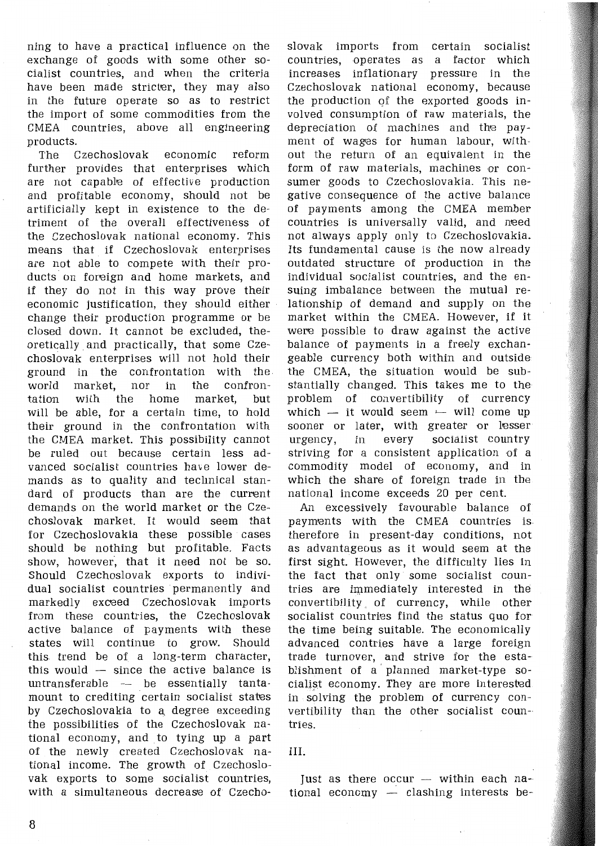ning to have a practical influence on the exchange of goods with some other socialist countries, and when the criteria have been made stricter, they may also in the future operate so as to restrict the import of some commodities from the CMEA countries, above all engineering products.

The Czechoslovak economic reform further provides that enterprises which are not capable of effective production and profitable economy, should not be artificially kept in existence to the detriment of the overall effectiveness of the Czechoslovak national economy. This means that if Czechoslovak enterprises are not able to compete with their products on foreign and home markets, and if they do not in this way prove their economic justification, they should either change their production programme or be closed down. It cannot be excluded, theoretically and practically, that some Czechoslovak enterprises will not hold their ground in the confrontation with the world market, nor in the confrontation with the home market, but will be able, for a certain time, to hold their ground in the confrontation with the CMEA market. This possibility cannot be ruled out because certain less advanced socialist countries have lower demands as to quality and teclmical standard of products than are the current demands on the world market or the Czechoslovak market. It would seem that for Czechoslovakia these possible cases should be nothing but profitable. Facts show, however, that it need not be so. Should Czechoslovak exports to individua! socialist countries permanently and markedly exceed Czechoslovak imports from these countries, the Czechoslovak active balance of payments with these states will continue to grow. Should this trend be of a long-term character, this would  $-$  since the active balance is  $untransferable$   $-$  be essentially tantamount to crediting certain socialist stares by Czechoslovakia to a, degree exceeding the possibilities of the Czechoslovak national economy, and to tying up a part of the newly created Czechoslovak national income. The growth of Czechoslovak exports to some socialist countries, with a simultaneous decrease of Czechoslovak imports from certain socialist countries, operates as a factor which increases inflationary pressure in the Czechoslovak national economy, because the production of the exported goods involved consumption of raw materials, the depreciation of machines and the payment of wages for human labour, without the return of an equivalent in the form of raw materials, machines or consumer goods to Czechoslovakia. This negative consequence of the active balance of payments among the CMEA member countries is universally valid, and need not always apply only to Czechoslovakia. Its fundamental cause is the now already outdated structure of production in the individual socialist countries, and the ensuing imbalance between the mutual relationship of demand and supply on the market within the CMEA. However, if it were possible to draw against the active balance of payments in a freely exchangeable currency both within and outside the CMEA, the situation would be substantially changed. This takes me to the problem of convertibility of currency which  $-$  it would seem  $-$  will come up sooner or later, with greater or lesser urgency, in every socialist country striving for a consistent application of a commodity model of economy, and in which the share of foreign trade in the national income exceeds 20 per cent.

An excessively favourable balance of payments with the CMEA countries is therefore in present-day conditions, not as advantageous as it would seem at the first sight. However, the difficulty lies in the fact that only some socialist countries are immediately interested in the convertibility of currency, while other socialist countries find the status quo for the time being suitable. The economically advanced contries have a large foreign trade turnover, and strive for the establishment of a planned market-type socialist economy. They are more interested in solving the problem of currency convertibility than the other socialist countries.

## III.

Just as there occur  $-$  within each national economy  $-$  clashing interests be-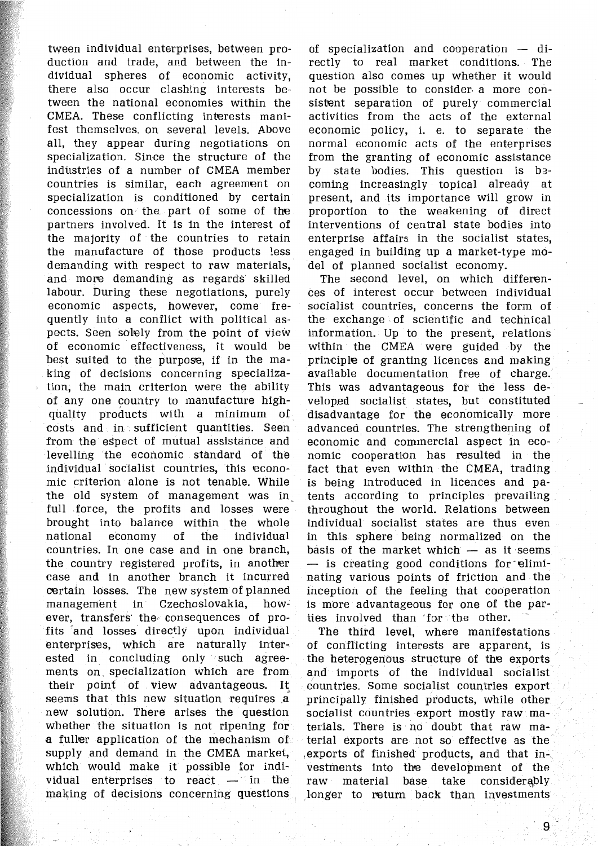tween individual enterprises, between production and trade, and between the individua! spheres of economic activity, there also occur clashing interests between the national economies within the CMEA. These conflicting inrerests manifest themselves, on several levels. Above all, they appear during negotiations on specialization. Since the structure of the industries of a number of CMEA member countries is similar, each agreement on specialization is conditioned by certain concessions on the part of some of the partners involved. It is in the interest of the majority of the countries to retain the manufacture of those products less demanding with respect to raw materials, and more deinanding as regards skilled labour. During these negotiations, purely economic aspects, however, come frequently into a conflict with political aspects. Seen solely from the point of view of eoonomic effectiveness, it would be best suited to the purpose, if in the making of decisions concerning specialization, the main criterion were the ability of any one country to manufacture highquality products with a minimum of costs and in sufficient quantities. Seen from the espect of mutual assistance and levelling the economic standard of the individual socialist countries, this economic criterion alone is not tenable. While the old system of management was in full force, the profits and losses were brought into balance within the whole national economy of the individua! countries. In one case and in one branch, the country registered profits, in another case and in another branch it incurred certain losses. The new system of planned management in Czechoslovakia, however, transférs· the· consequences of profits 'and losses directly upon individua! enterprises, which are naturally interested in concluding only such agreements on. specializátion which are from their point of view advantageous. It seems that this new situation requires a new solution. There arises the question whether the situation is not ripening for a fuller application of the mechanism of supply and demand in the CMEA market, which would make it possible for individual enterprises to react  $-$  in the making of decisions concerning questions

of specialization and cooperation  $-$  directly to real market conditions. The question also comes up whether it would not be possible to consider. a more consistent separation of purely commercial activities from the acts of the external economic policy, i. e. to separate the normal economic acts of the enterprises from the granting of economic assistance by state bodies. This question is b<sub>3</sub>coming increasingly topical already at present, and its importance will grow in proportion to the weakening of direct interventions of central state bodies into enterprise affairs in the socialist states, engaged in building up a market-type model of planned socialist economy.

The second level, on which differences of interest occur between individua! socialist countries, concerns the form of the exchange of scien tific and technical information. Up to the present, relations within the CMEA were guided by the principle of granting licences and making available documentation free of charge. This was advantageous for the less developed socialist states, but constituted disadvantage for the economically more advanced countries. The strengthening of economic and commercial aspect in economic cooperation has resulted in the fact that even within the CMEA, trading is being introduced in licences and patents according to principles prevailing throughout the world. Relations between individua! socialist states are thus even in this sphere being normalized on the basis of the market which  $-$  as it seems  $-$  is creating good conditions for eliminating various points of friction and the inception of the feeling that cooperation is more advantageous for one of the parties involved than 'for the other.

The third level, where manifestations of conflicting interests are apparent, is the heterogenous structure of the exports and imports of the individual socialist countries. Some socialist countries export principally finished products, while other socialist countries export mostly raw materials. There is no doubt that raw material exports are not so effective as the exports of finished products, and that investments into the development of the raw material base take considerably longer *to* return back than investments

9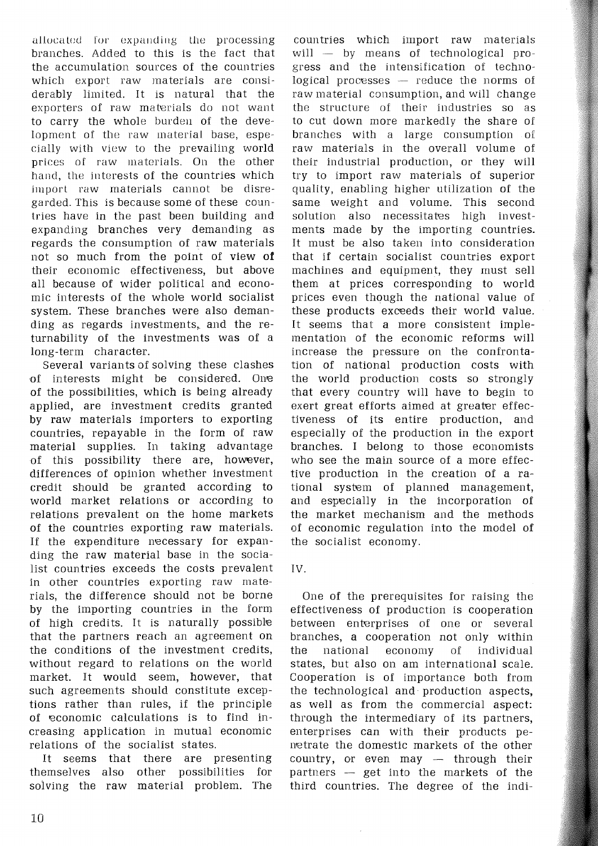allocated for expanding the processing branches. Added to this is the fact that the accumulation sources of the countries which export raw materials are considerably limited. It is natural that the exporters of raw materials do not want to carry the whole burden of the development of the raw material base, especially with view to the prevailing world prices of raw materials. On the other hand, the interests of the countries which import raw materials cannot be disregarded. This is because some of these countries have in the past been building and expanding branches very demanding as regards the consumption of raw materials not so much from the point of view of their economic effectiveness, but above all because of wider political and economic interests of the whole world socialist system. These branches were also demanding as regards investments, and the returnability of the investments was of a long-term character.

Several variants of solving these clashes of interests might be considered. One of the possibilities, which is being already applied, are investment credits granted by raw materials importers to exporting countries, repayable in the form of raw material supplies. In taking advantage of this possibility there are, however, differences of opinion whether investment credit should be granted according to world market relations or according to relations prevalent on the home markets of the countries exporting raw materials. If the expenditure necessary for expanding the raw material base in the socialist countries exceeds the costs prevalent in other countries exporting raw materials, the difference should not be borne by the importing countries in the form of high credits. It is naturally possible that the partners reach an agreement on the conditions of the investment credits, without regard to relations on the world market. It would seem, however, that such agreements should constitute exceptions rather than rules, if the principle of economic calculations is to find increasing application in mutual economic relations of the socialist states.

It seems that there are presenting themselves also other possibilities for solving the raw material problem. The

countries which import raw materials will - by means of technological progress and the intensification of technological processes  $-$  reduce the norms of raw material consumption, and will change the structure of their industries so as to cut down more markedly the share of branches with a large consumption of raw materials in the overall volume of their industrial production, or they will try to import raw materials of superior quality, enabling higher utilization of the same weight and volume. This second solution also necessitates high investments made by the importing countries. It must be also taken into consideration that if certain socialist countries export machines and equipment, they must sell them at prices corresponding to world prices even though the national value of these products exceeds their world value. It seems that a more consistent implementation of the economic reforms will increase the pressure on the confrontation of national production costs with the world production costs so strongly that every country will have to begin to exert great efforts aimed at greater effectiveness of its entire production, and especially of the production in the export branches. I belong to those economists who see the main source of a more effective production in the creation of a rational system of planned management, and especially in the incorporation of the market mechanism and the methods of economic regulation into the model of the socialist economy.

IV.

One of the prerequisites for raising the effectiveness of production is cooperation between enterprises of one or several branches, a cooperation not only within the national economy 0f individual states, but also on am international scale. Cooperation is of importance both from the technological and production aspects. as well as from the commercial aspect: through the intermediary of its partners, enterprises can with their products penetrate the domestic markets of the other country, or even may - through their partners - get into the markets of the third countries. The degree of the indi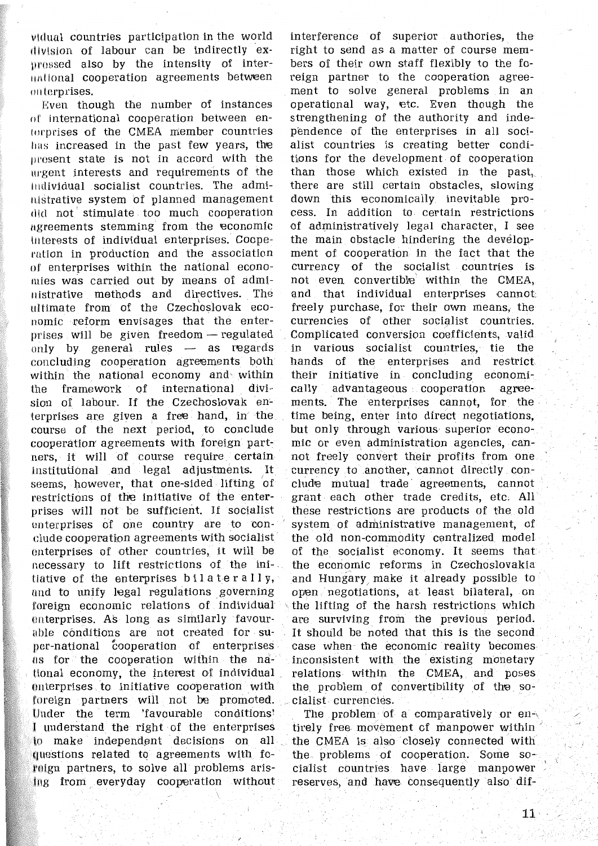vidual countries participation in the world division of labour can be indirectly expressed also by the intensity of interuntional cooperation agreements between enterprises.

Even though the number of instances of international cooperation between enterprises of the CMEA member countries has increased in the past few years, the present state is not in accord with the urgent interests and requirements of the individual socialist countries. The administrative system of planned management did not stimulate too much cooperation agreements stemming from the economic Interests of individual enterprises. Cooperation in production and the association of enterprises within the national economies was carried out by means of administrative methods and directives. The ultimate from of the Czechoslovak economic reform envisages that the enterprises will be given freedom - regulated only by general rules - as regards concluding cooperation agreements both within the national economy and within framework of international divithe sion of labour. If the Czechoslovak enterprises are given a free hand, in the course of the next period, to conclude cooperation agreements with foreign partners, it will of course require certain institutional and legal adjustments. It seems, however, that one-sided lifting of restrictions of the initiative of the enterprises will not be sufficient. If socialist enterprises of one country are to conclude cooperation agreements with socialist enterprises of other countries, it will be necessary to lift restrictions of the initiative of the enterprises bilaterally, and to unify legal regulations governing foreign economic relations of individual enterprises. As long as similarly favourable conditions are not created for super-national cooperation of enterprises as for the cooperation within the national economy, the interest of individual enterprises to initiative cooperation with foreign partners will not be promoted. Under the term 'favourable conditions' I understand the right of the enterprises to make independent decisions on all questions related to agreements with foreign partners, to solve all problems arising from everyday cooperation without

interference of superior authories, the right to send as a matter of course members of their own staff flexibly to the foreign partner to the cooperation agreement to solve general problems in an operational way, etc. Even though the strengthening of the authority and independence of the enterprises in all socialist countries is creating better conditions for the development of cooperation than those which existed in the past, there are still certain obstacles, slowing down this economically inevitable process. In addition to certain restrictions of administratively legal character, I see the main obstacle hindering the development of cooperation in the fact that the currency of the socialist countries is not even convertible within the CMEA, and that individual enterprises cannot freely purchase, for their own means, the currencies of other socialist countries. Complicated conversion coefficients, valid in various socialist countries, tie the hands of the enterprises and restrict their initiative in concluding economically advantageous cooperation agreements. The enterprises cannot, for the time being, enter into direct negotiations, but only through various superior economic or even administration agencies, cannot freely convert their profits from one currency to another, cannot directly conclude mutual trade agreements, cannot grant each other trade credits, etc. All these restrictions are products of the old system of administrative management, of the old non-commodity centralized model of the socialist economy. It seems that the economic reforms in Czechoslovakia and Hungary make it already possible to open negotiations, at least bilateral, on the lifting of the harsh restrictions which are surviving from the previous period. It should be noted that this is the second case when the economic reality becomes inconsistent with the existing monetary relations within the CMEA, and poses the problem of convertibility of the socialist currencies.

The problem of a comparatively or entirely free movement of manpower within the CMEA is also closely connected with the problems of cooperation. Some socialist countries have large manpower reserves, and have consequently also dif